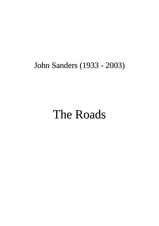## John Sanders (1933 - 2003)

## The Roads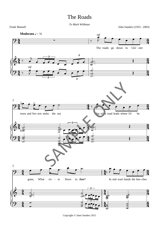## The Roads

*To Mark Wildman*

Frank Mansell John Sanders (1933 - 2003)



Copyright © Janet Sanders 2011